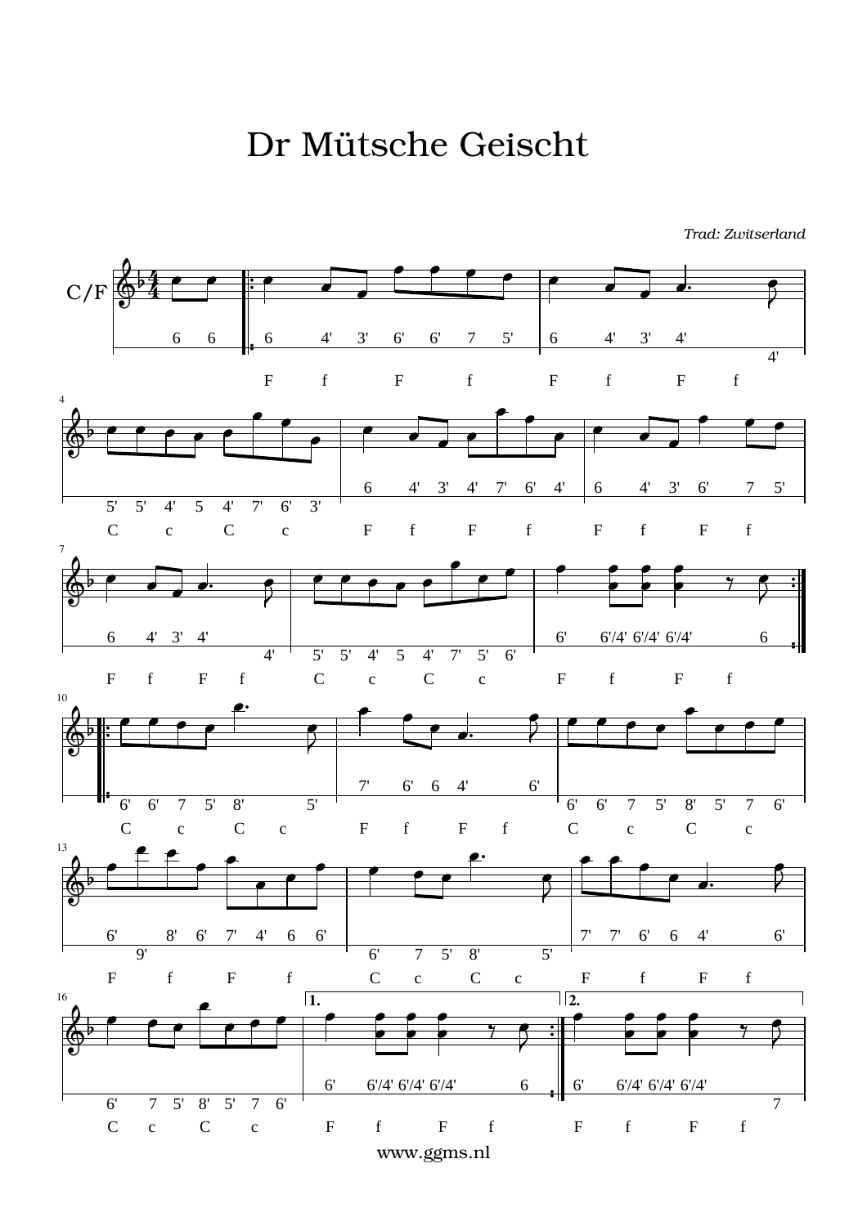## Dr Mütsche Geischt



*Trad: Zwitserland*

www.ggms.nl